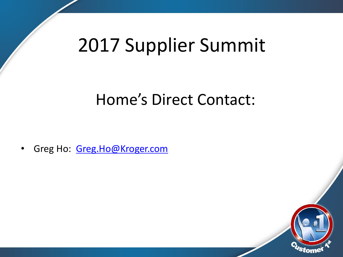# 2017 Supplier Summit

#### Home's Direct Contact:

• Greg Ho: [Greg.Ho@Kroger.com](mailto:Greg.Ho@Kroger.com)

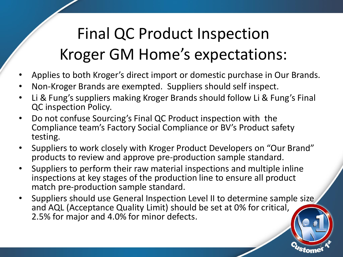## Final QC Product Inspection Kroger GM Home's expectations:

- Applies to both Kroger's direct import or domestic purchase in Our Brands.
- Non-Kroger Brands are exempted. Suppliers should self inspect.
- Li & Fung's suppliers making Kroger Brands should follow Li & Fung's Final QC inspection Policy.
- Do not confuse Sourcing's Final QC Product inspection with the Compliance team's Factory Social Compliance or BV's Product safety testing.
- Suppliers to work closely with Kroger Product Developers on "Our Brand" products to review and approve pre-production sample standard.
- Suppliers to perform their raw material inspections and multiple inline inspections at key stages of the production line to ensure all product match pre-production sample standard.
- Suppliers should use General Inspection Level II to determine sample size and AQL (Acceptance Quality Limit) should be set at 0% for critical, 2.5% for major and 4.0% for minor defects.

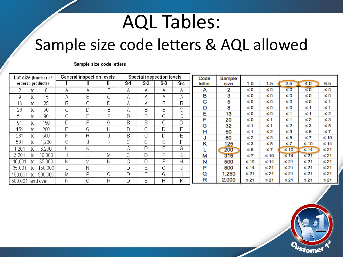# AQL Tables:

#### Sample size code letters & AQL allowed

Sample size code letters

| Lot size (Number of |     |         | General inspection levels |   |   | Special inspection levels |                |        |         | Code   | Sample    |           |           |           |           |           |
|---------------------|-----|---------|---------------------------|---|---|---------------------------|----------------|--------|---------|--------|-----------|-----------|-----------|-----------|-----------|-----------|
| ordered products)   |     |         |                           |   | Ш | S-1                       | S <sub>2</sub> | S 3    | S-4     | letter | size      | 1.0       | 1.5       | 2.5       | 4.0       | 6.5       |
|                     | to. | 8       | А                         | Α | В | А                         | А              | Α      | Α       | А      | 2         | $\leq 0$  | ≤0        | $\leq 0$  | $\leq 0$  | ≤0        |
| 9                   | to  | 15      | Α                         | B | С | Α                         | Α              | Α      | Α       | в      | 3         | $\leq 0$  | ≤0        | ≤0        | $\leq 0$  | ≤0        |
| 16                  | to. | 25      | B                         | С | D | Α                         | Α              | B      | B       | с      | 5         | $\leq 0$  | ≤0        | ≤0        | $\leq 0$  | ≤ 1       |
| 26                  | to. | 50      | ⌒<br>◡                    |   | Ε | A                         | B              | B      | ⌒<br>◡  | D      | 8         | ≤0        | $\leq 0$  | ≤0        | ≤1        | ≤ 1       |
| 51                  | to  | 90      | ⌒                         | Ε | Е | B                         | B              | ⌒      | ⌒<br>U  | Е      | 13        | $\leq 0$  | ≤0        | ≤1        | ≤1        | ≤ 2       |
| 91                  | to  | 150     | D                         | E | G | B                         | В              | ⌒<br>◡ | r.<br>υ | F      | 20        | ≤0        | ≤1        | ≤ 1       | $\leq 2$  | $\leq 3$  |
| 151                 |     | 280     | F                         | G | Η | В                         | ⌒              | D      | Е       | G      | 32        | ≤ 1       | ≤1        | $\leq 2$  | $\leq 3$  | ≤5        |
|                     | to. |         |                           |   |   |                           | U<br>⌒         |        |         | н      | 50        | $\leq 1$  | ≤2        | $\leq 3$  | ≤5        | $\leq 7$  |
| 281                 | to. | 500     |                           | Н | J | B                         | ◡              | D      | Ε       | J      | 80        | $\leq 2$  | $\leq 3$  | ≤5        | ≤7        | ≤ 10      |
| 501                 | to. | ,200    | G                         |   | Κ | ⌒                         | ⌒              | E      | F       | κ      | 125       | $\leq 3$  | $\leq 5$  | $\leq 7$  | $\leq 10$ | ≤ 14      |
| .201                | to  | 3,200   | Η                         | Κ |   | ⌒                         | D              | Ε      | G       |        | 200       | $\leq 5$  | s 7       | $\leq 10$ | $\leq 14$ | ≤ 21      |
| 3,201               | to  | 10,000  | ٠I                        |   | Μ | ⌒                         | D              | Е      | G       | М      | 315       | $\leq 7$  | $\leq 10$ | $\leq 14$ | ≤ 21      | $\leq 21$ |
| 10,001              | to. | 35,000  | Κ                         | М | Ν | ⌒                         | D              | Е      | Η       | N      | 500       | $\leq 10$ | ≤ 14      | $\leq 21$ | $\leq 21$ | ≤ 21      |
| 35,001              | to  | 150,000 |                           | N | P | D                         | Е              | G      | J       | P      | 800       | $\leq 14$ | $\leq 21$ | $\leq 21$ | ≤ 21      | ≤ 21      |
| 150,001             | to. | 500,000 | М                         | P | Q | D                         | Е              | G      | J       | Q      | ,250      | ≤ 21      | $\leq 21$ | $\leq 21$ | ≤ 21      | $\leq 21$ |
| 500,001<br>and over |     | N       |                           | R |   | E                         | Н              | Κ      | R       | 2,000  | $\leq 21$ | $\leq 21$ | ≤ 21      | $\leq 21$ | ≤ 21      |           |

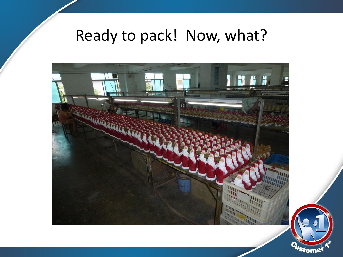### Ready to pack! Now, what?

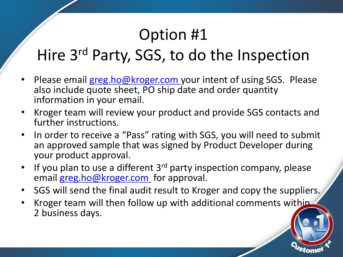#### Option #1

### Hire 3<sup>rd</sup> Party, SGS, to do the Inspection

- Please email greg.ho@kroger.com your intent of using SGS. Please also include quote sheet, PO ship date and order quantity information in your email.
- Kroger team will review your product and provide SGS contacts and further instructions.
- In order to receive a "Pass" rating with SGS, you will need to submit an approved sample that was signed by Product Developer during your product approval.
- If you plan to use a different 3<sup>rd</sup> party inspection company, please email greg.ho@kroger.com for approval.
- SGS will send the final audit result to Kroger and copy the suppliers.
- Kroger team will then follow up with additional comments within 2 business days.

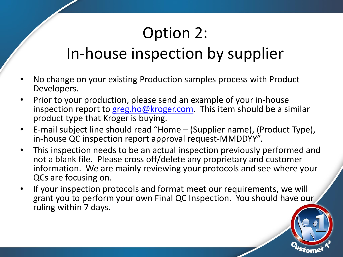## Option 2:

#### In-house inspection by supplier

- No change on your existing Production samples process with Product Developers.
- Prior to your production, please send an example of your in-house inspection report to greg.ho@kroger.com. This item should be a similar product type that Kroger is buying.
- E-mail subject line should read "Home (Supplier name), (Product Type), in-house QC inspection report approval request-MMDDYY".
- This inspection needs to be an actual inspection previously performed and not a blank file. Please cross off/delete any proprietary and customer information. We are mainly reviewing your protocols and see where your QCs are focusing on.
- If your inspection protocols and format meet our requirements, we will grant you to perform your own Final QC Inspection. You should have our ruling within 7 days.

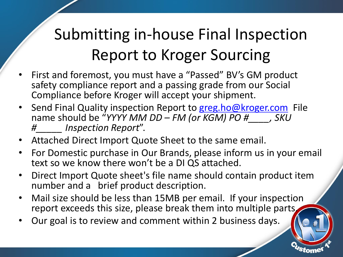## Submitting in-house Final Inspection Report to Kroger Sourcing

- First and foremost, you must have a "Passed" BV's GM product safety compliance report and a passing grade from our Social Compliance before Kroger will accept your shipment.
- Send Final Quality inspection Report to greg.ho[@kroger.com](mailto:DirectGlobalSourcing@kroger.com) File name should be "*YYYY MM DD – FM (or KGM) PO #\_\_\_\_, SKU #\_\_\_\_\_ Inspection Report*".
- Attached Direct Import Quote Sheet to the same email.
- For Domestic purchase in Our Brands, please inform us in your email text so we know there won't be a DI QS attached.
- Direct Import Quote sheet's file name should contain product item number and a brief product description.
- Mail size should be less than 15MB per email. If your inspection report exceeds this size, please break them into multiple parts.

7

• Our goal is to review and comment within 2 business days.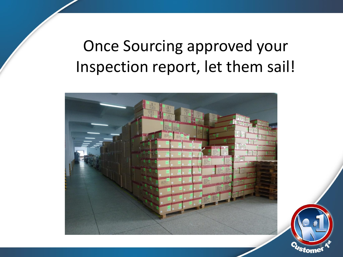### Once Sourcing approved your Inspection report, let them sail!



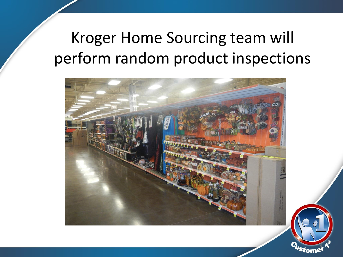### Kroger Home Sourcing team will perform random product inspections



9